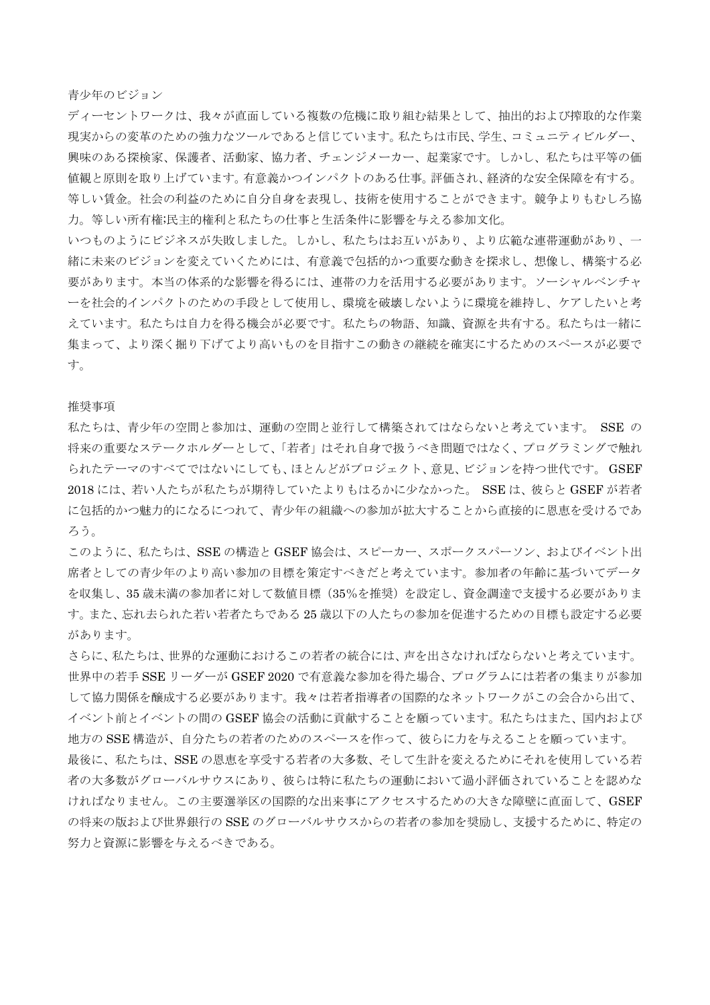青少年のビジョン

ディーセントワークは、我々が直面している複数の危機に取り組む結果として、抽出的および搾取的な作業 現実からの変革のための強力なツールであると信じています。私たちは市民、学生、コミュニティビルダー、 興味のある探検家、保護者、活動家、協力者、チェンジメーカー、起業家です。しかし、私たちは平等の価 値観と原則を取り上げています。有意義かつインパクトのある仕事。評価され、経済的な安全保障を有する。 等しい賃金。社会の利益のために自分自身を表現し、技術を使用することができます。競争よりもむしろ協 力。等しい所有権;民主的権利と私たちの仕事と生活条件に影響を与える参加文化。

いつものようにビジネスが失敗しました。しかし、私たちはお互いがあり、より広範な連帯運動があり、一 緒に未来のビジョンを変えていくためには、有意義で包括的かつ重要な動きを探求し、想像し、構築する必 要があります。本当の体系的な影響を得るには、連帯の力を活用する必要があります。ソーシャルベンチャ ーを社会的インパクトのための手段として使用し、環境を破壊しないように環境を維持し、ケアしたいと考 えています。私たちは自力を得る機会が必要です。私たちの物語、知識、資源を共有する。私たちは一緒に 集まって、より深く掘り下げてより高いものを目指すこの動きの継続を確実にするためのスペースが必要で す。

## 推奨事項

私たちは、青少年の空間と参加は、運動の空間と並行して構築されてはならないと考えています。 SSE の 将来の重要なステークホルダーとして、「若者」はそれ自身で扱うべき問題ではなく、プログラミングで触れ られたテーマのすべてではないにしても、ほとんどがプロジェクト、意見、ビジョンを持つ世代です。 GSEF 2018 には、若い人たちが私たちが期待していたよりもはるかに少なかった。 SSE は、彼らと GSEF が若者 に包括的かつ魅力的になるにつれて、青少年の組織への参加が拡大することから直接的に恩恵を受けるであ ろう。

このように、私たちは、SSE の構造と GSEF 協会は、スピーカー、スポークスパーソン、およびイベント出 席者としての青少年のより高い参加の目標を策定すべきだと考えています。参加者の年齢に基づいてデータ を収集し、35 歳未満の参加者に対して数値目標(35%を推奨)を設定し、資金調達で支援する必要がありま す。また、忘れ去られた若い若者たちである 25 歳以下の人たちの参加を促進するための目標も設定する必要 があります。

さらに、私たちは、世界的な運動におけるこの若者の統合には、声を出さなければならないと考えています。 世界中の若手 SSE リーダーが GSEF 2020 で有意義な参加を得た場合、プログラムには若者の集まりが参加 して協力関係を醸成する必要があります。我々は若者指導者の国際的なネットワークがこの会合から出て、 イベント前とイベントの間の GSEF 協会の活動に貢献することを願っています。私たちはまた、国内および 地方の SSE 構造が、自分たちの若者のためのスペースを作って、彼らに力を与えることを願っています。 最後に、私たちは、SSE の恩恵を享受する若者の大多数、そして生計を変えるためにそれを使用している若 者の大多数がグローバルサウスにあり、彼らは特に私たちの運動において過小評価されていることを認めな ければなりません。この主要選挙区の国際的な出来事にアクセスするための大きな障壁に直面して、GSEF の将来の版および世界銀行の SSE のグローバルサウスからの若者の参加を奨励し、支援するために、特定の 努力と資源に影響を与えるべきである。